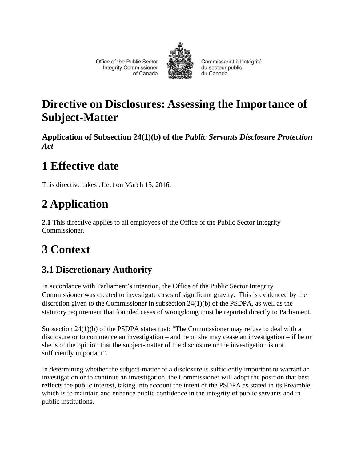Office of the Public Sector **Integrity Commissioner** of Canada



Commissariat à l'intégrité du secteur public du Canada

### **Directive on Disclosures: Assessing the Importance of Subject-Matter**

**Application of Subsection 24(1)(b) of the** *Public Servants Disclosure Protection Act*

## **1 Effective date**

This directive takes effect on March 15, 2016.

# **2 Application**

**2.1** This directive applies to all employees of the Office of the Public Sector Integrity Commissioner.

# **3 Context**

### **3.1 Discretionary Authority**

In accordance with Parliament's intention, the Office of the Public Sector Integrity Commissioner was created to investigate cases of significant gravity. This is evidenced by the discretion given to the Commissioner in subsection 24(1)(b) of the PSDPA, as well as the statutory requirement that founded cases of wrongdoing must be reported directly to Parliament.

Subsection 24(1)(b) of the PSDPA states that: "The Commissioner may refuse to deal with a disclosure or to commence an investigation – and he or she may cease an investigation – if he or she is of the opinion that the subject-matter of the disclosure or the investigation is not sufficiently important".

In determining whether the subject-matter of a disclosure is sufficiently important to warrant an investigation or to continue an investigation, the Commissioner will adopt the position that best reflects the public interest, taking into account the intent of the PSDPA as stated in its Preamble, which is to maintain and enhance public confidence in the integrity of public servants and in public institutions.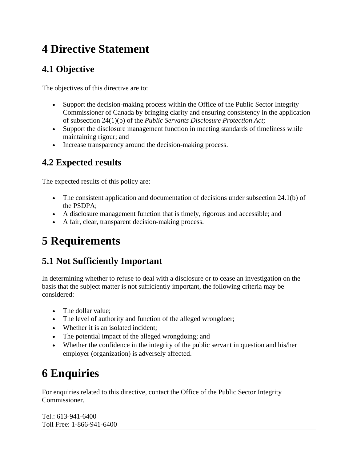### **4 Directive Statement**

### **4.1 Objective**

The objectives of this directive are to:

- Support the decision-making process within the Office of the Public Sector Integrity Commissioner of Canada by bringing clarity and ensuring consistency in the application of subsection 24(1)(b) of the *Public Servants Disclosure Protection Act;*
- Support the disclosure management function in meeting standards of timeliness while maintaining rigour; and
- Increase transparency around the decision-making process.

#### **4.2 Expected results**

The expected results of this policy are:

- The consistent application and documentation of decisions under subsection 24.1(b) of the PSDPA;
- A disclosure management function that is timely, rigorous and accessible; and
- A fair, clear, transparent decision-making process.

## **5 Requirements**

#### **5.1 Not Sufficiently Important**

In determining whether to refuse to deal with a disclosure or to cease an investigation on the basis that the subject matter is not sufficiently important, the following criteria may be considered:

- The dollar value;
- The level of authority and function of the alleged wrongdoer;
- Whether it is an isolated incident;
- The potential impact of the alleged wrongdoing; and
- Whether the confidence in the integrity of the public servant in question and his/her employer (organization) is adversely affected.

## **6 Enquiries**

For enquiries related to this directive, contact the Office of the Public Sector Integrity Commissioner.

Tel.: 613-941-6400 Toll Free: 1-866-941-6400